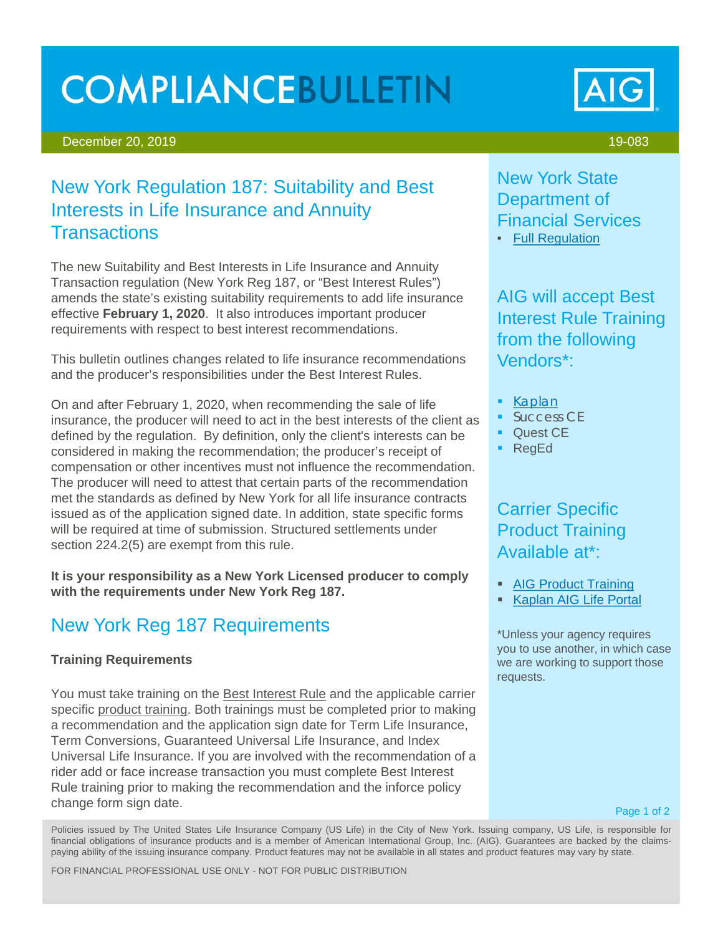# **COMPLIANCEBULLETIN**

#### December 20, 2019 19-083

# New York Regulation 187: Suitability and Best Interests in Life Insurance and Annuity **Transactions**

The new Suitability and Best Interests in Life Insurance and Annuity Transaction regulation (New York Reg 187, or "Best Interest Rules") amends the state's existing suitability requirements to add life insurance effective **February 1, 2020**. It also introduces important producer requirements with respect to best interest recommendations.

This bulletin outlines changes related to life insurance recommendations and the producer's responsibilities under the Best Interest Rules.

On and after February 1, 2020, when recommending the sale of life insurance, the producer will need to act in the best interests of the client as defined by the regulation. By definition, only the client's interests can be considered in making the recommendation; the producer's receipt of compensation or other incentives must not influence the recommendation. The producer will need to attest that certain parts of the recommendation met the standards as defined by New York for all life insurance contracts issued as of the application signed date. In addition, state specific forms will be required at time of submission. Structured settlements under section 224.2(5) are exempt from this rule.

**It is your responsibility as a New York Licensed producer to comply with the requirements under New York Reg 187.**

# New York Reg 187 Requirements

### **Training Requirements**

You must take training on the Best Interest Rule and the applicable carrier specific product training. Both trainings must be completed prior to making a recommendation and the application sign date for Term Life Insurance, Term Conversions, Guaranteed Universal Life Insurance, and Index Universal Life Insurance. If you are involved with the recommendation of a rider add or face increase transaction you must complete Best Interest Rule training prior to making the recommendation and the inforce policy change form sign date.

New York State Department of Financial Services • [Full Regulation](https://www.dfs.ny.gov/docs/insurance/r_finala/2018/rf187a1txt.pdf)

AIG will accept Best Interest Rule Training from the following Vendors\*:

- [Kaplan](https://portal.kaplanfinancial.com/partner/AIGLIFE)
- **Success CE**
- **C** Quest CE
- RegEd

## Carrier Specific Product Training Available at\*:

- [AIG Product Training](https://naic.pinpointglobal.com/AIGLife/Apps/default.aspx?qa=1)
- **[Kaplan AIG Life Portal](https://portal.kaplanfinancial.com/partner/AIGLIFE)**

\*Unless your agency requires you to use another, in which case we are working to support those requests.

Page 1 of 2

Policies issued by The United States Life Insurance Company (US Life) in the City of New York. Issuing company, US Life, is responsible for financial obligations of insurance products and is a member of American International Group, Inc. (AIG). Guarantees are backed by the claimspaying ability of the issuing insurance company. Product features may not be available in all states and product features may vary by state.

FOR FINANCIAL PROFESSIONAL USE ONLY - NOT FOR PUBLIC DISTRIBUTION